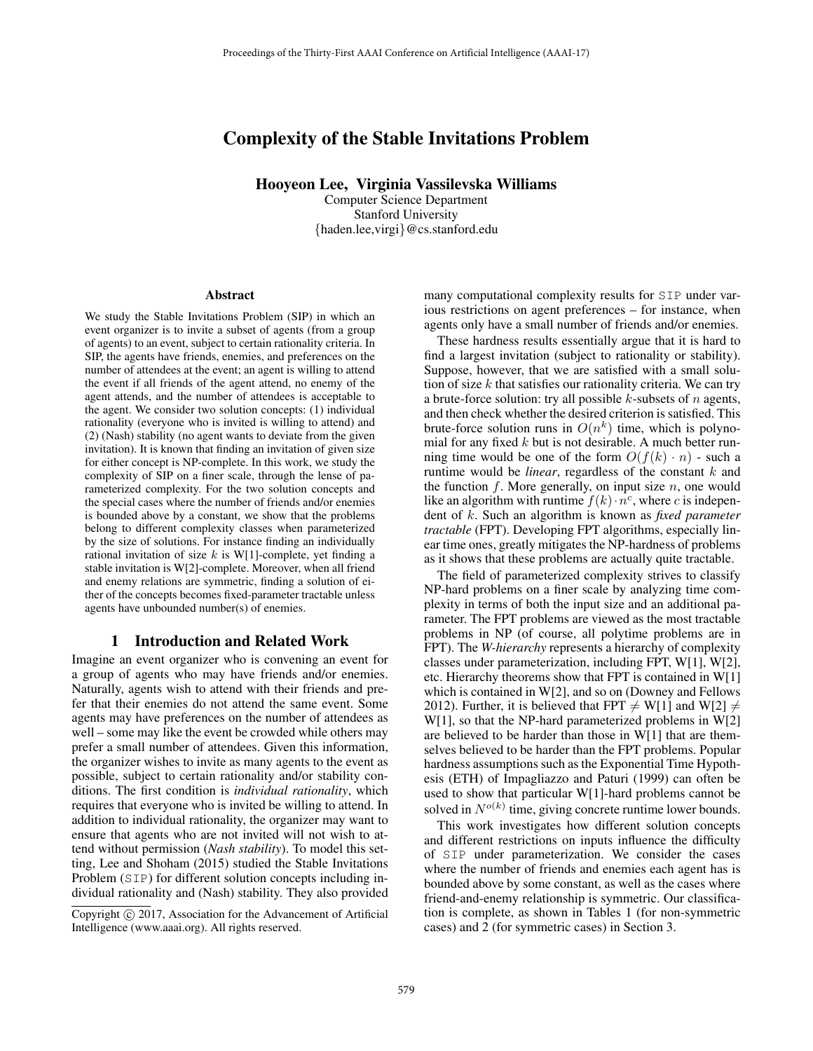# Complexity of the Stable Invitations Problem

Hooyeon Lee, Virginia Vassilevska Williams

Computer Science Department Stanford University {haden.lee,virgi}@cs.stanford.edu

#### Abstract

We study the Stable Invitations Problem (SIP) in which an event organizer is to invite a subset of agents (from a group of agents) to an event, subject to certain rationality criteria. In SIP, the agents have friends, enemies, and preferences on the number of attendees at the event; an agent is willing to attend the event if all friends of the agent attend, no enemy of the agent attends, and the number of attendees is acceptable to the agent. We consider two solution concepts: (1) individual rationality (everyone who is invited is willing to attend) and (2) (Nash) stability (no agent wants to deviate from the given invitation). It is known that finding an invitation of given size for either concept is NP-complete. In this work, we study the complexity of SIP on a finer scale, through the lense of parameterized complexity. For the two solution concepts and the special cases where the number of friends and/or enemies is bounded above by a constant, we show that the problems belong to different complexity classes when parameterized by the size of solutions. For instance finding an individually rational invitation of size  $k$  is W[1]-complete, yet finding a stable invitation is W[2]-complete. Moreover, when all friend and enemy relations are symmetric, finding a solution of either of the concepts becomes fixed-parameter tractable unless agents have unbounded number(s) of enemies.

## 1 Introduction and Related Work

Imagine an event organizer who is convening an event for a group of agents who may have friends and/or enemies. Naturally, agents wish to attend with their friends and prefer that their enemies do not attend the same event. Some agents may have preferences on the number of attendees as well – some may like the event be crowded while others may prefer a small number of attendees. Given this information, the organizer wishes to invite as many agents to the event as possible, subject to certain rationality and/or stability conditions. The first condition is *individual rationality*, which requires that everyone who is invited be willing to attend. In addition to individual rationality, the organizer may want to ensure that agents who are not invited will not wish to attend without permission (*Nash stability*). To model this setting, Lee and Shoham (2015) studied the Stable Invitations Problem (SIP) for different solution concepts including individual rationality and (Nash) stability. They also provided

many computational complexity results for SIP under various restrictions on agent preferences – for instance, when agents only have a small number of friends and/or enemies.

These hardness results essentially argue that it is hard to find a largest invitation (subject to rationality or stability). Suppose, however, that we are satisfied with a small solution of size  $k$  that satisfies our rationality criteria. We can try a brute-force solution: try all possible  $k$ -subsets of  $n$  agents, and then check whether the desired criterion is satisfied. This brute-force solution runs in  $O(n^k)$  time, which is polynomial for any fixed  $k$  but is not desirable. A much better running time would be one of the form  $O(f(k) \cdot n)$  - such a runtime would be *linear*, regardless of the constant k and the function f. More generally, on input size  $n$ , one would like an algorithm with runtime  $f(k) \cdot n^c$ , where c is independent of k. Such an algorithm is known as *fixed parameter tractable* (FPT). Developing FPT algorithms, especially linear time ones, greatly mitigates the NP-hardness of problems as it shows that these problems are actually quite tractable.

The field of parameterized complexity strives to classify NP-hard problems on a finer scale by analyzing time complexity in terms of both the input size and an additional parameter. The FPT problems are viewed as the most tractable problems in NP (of course, all polytime problems are in FPT). The *W-hierarchy* represents a hierarchy of complexity classes under parameterization, including FPT, W[1], W[2], etc. Hierarchy theorems show that FPT is contained in W[1] which is contained in W[2], and so on (Downey and Fellows 2012). Further, it is believed that  $FPT \neq W[1]$  and  $W[2] \neq W[1]$ . W[1], so that the NP-hard parameterized problems in W[2] are believed to be harder than those in W[1] that are themselves believed to be harder than the FPT problems. Popular hardness assumptions such as the Exponential Time Hypothesis (ETH) of Impagliazzo and Paturi (1999) can often be used to show that particular W[1]-hard problems cannot be solved in  $N^{o(k)}$  time, giving concrete runtime lower bounds.

This work investigates how different solution concepts and different restrictions on inputs influence the difficulty of SIP under parameterization. We consider the cases where the number of friends and enemies each agent has is bounded above by some constant, as well as the cases where friend-and-enemy relationship is symmetric. Our classification is complete, as shown in Tables 1 (for non-symmetric cases) and 2 (for symmetric cases) in Section 3.

Copyright  $\odot$  2017, Association for the Advancement of Artificial Intelligence (www.aaai.org). All rights reserved.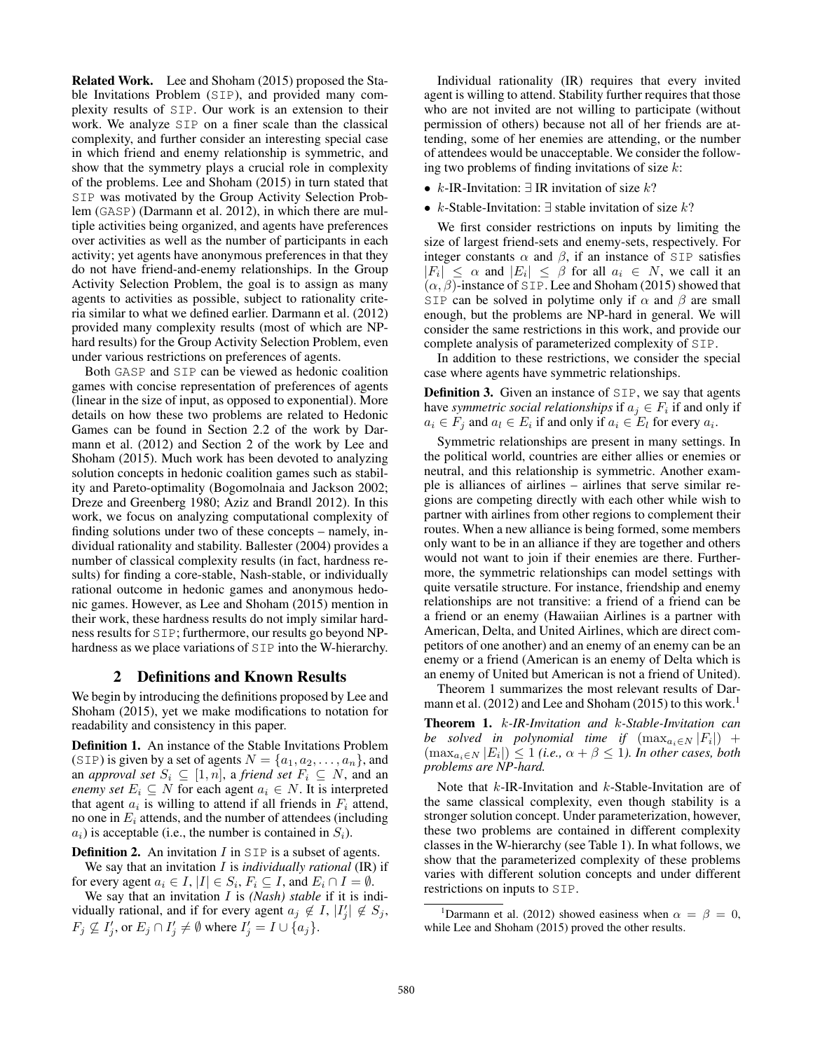Related Work. Lee and Shoham (2015) proposed the Stable Invitations Problem (SIP), and provided many complexity results of SIP. Our work is an extension to their work. We analyze SIP on a finer scale than the classical complexity, and further consider an interesting special case in which friend and enemy relationship is symmetric, and show that the symmetry plays a crucial role in complexity of the problems. Lee and Shoham (2015) in turn stated that SIP was motivated by the Group Activity Selection Problem (GASP) (Darmann et al. 2012), in which there are multiple activities being organized, and agents have preferences over activities as well as the number of participants in each activity; yet agents have anonymous preferences in that they do not have friend-and-enemy relationships. In the Group Activity Selection Problem, the goal is to assign as many agents to activities as possible, subject to rationality criteria similar to what we defined earlier. Darmann et al. (2012) provided many complexity results (most of which are NPhard results) for the Group Activity Selection Problem, even under various restrictions on preferences of agents.

Both GASP and SIP can be viewed as hedonic coalition games with concise representation of preferences of agents (linear in the size of input, as opposed to exponential). More details on how these two problems are related to Hedonic Games can be found in Section 2.2 of the work by Darmann et al. (2012) and Section 2 of the work by Lee and Shoham (2015). Much work has been devoted to analyzing solution concepts in hedonic coalition games such as stability and Pareto-optimality (Bogomolnaia and Jackson 2002; Dreze and Greenberg 1980; Aziz and Brandl 2012). In this work, we focus on analyzing computational complexity of finding solutions under two of these concepts – namely, individual rationality and stability. Ballester (2004) provides a number of classical complexity results (in fact, hardness results) for finding a core-stable, Nash-stable, or individually rational outcome in hedonic games and anonymous hedonic games. However, as Lee and Shoham (2015) mention in their work, these hardness results do not imply similar hardness results for SIP; furthermore, our results go beyond NPhardness as we place variations of SIP into the W-hierarchy.

## 2 Definitions and Known Results

We begin by introducing the definitions proposed by Lee and Shoham (2015), yet we make modifications to notation for readability and consistency in this paper.

Definition 1. An instance of the Stable Invitations Problem (SIP) is given by a set of agents  $N = \{a_1, a_2, \ldots, a_n\}$ , and an *approval set*  $S_i \subseteq [1, n]$ , a *friend set*  $F_i \subseteq N$ , and an *enemy set*  $E_i \subseteq N$  for each agent  $a_i \in N$ . It is interpreted that agent  $a_i$  is willing to attend if all friends in  $F_i$  attend, no one in  $E_i$  attends, and the number of attendees (including  $a_i$ ) is acceptable (i.e., the number is contained in  $S_i$ ).

**Definition 2.** An invitation  $I$  in  $SIP$  is a subset of agents. We say that an invitation I is *individually rational* (IR) if

for every agent  $a_i \in I$ ,  $|I| \in S_i$ ,  $F_i \subseteq I$ , and  $E_i \cap I = \emptyset$ .

We say that an invitation I is *(Nash) stable* if it is individually rational, and if for every agent  $a_j \notin I$ ,  $|I'_j| \notin S_j$ ,  $F_j \nsubseteq I'_j$ , or  $E_j \cap I'_j \neq \emptyset$  where  $I'_j = I \cup \{a_j\}$ .

Individual rationality (IR) requires that every invited agent is willing to attend. Stability further requires that those who are not invited are not willing to participate (without permission of others) because not all of her friends are attending, some of her enemies are attending, or the number of attendees would be unacceptable. We consider the following two problems of finding invitations of size  $k$ :

- k-IR-Invitation:  $\exists$  IR invitation of size k?
- k-Stable-Invitation:  $\exists$  stable invitation of size k?

We first consider restrictions on inputs by limiting the size of largest friend-sets and enemy-sets, respectively. For integer constants  $\alpha$  and  $\beta$ , if an instance of SIP satisfies  $|F_i| \leq \alpha$  and  $|E_i| \leq \beta$  for all  $a_i \in N$ , we call it an  $(\alpha, \beta)$ -instance of SIP. Lee and Shoham (2015) showed that SIP can be solved in polytime only if  $\alpha$  and  $\beta$  are small enough, but the problems are NP-hard in general. We will consider the same restrictions in this work, and provide our complete analysis of parameterized complexity of SIP.

In addition to these restrictions, we consider the special case where agents have symmetric relationships.

**Definition 3.** Given an instance of SIP, we say that agents have *symmetric social relationships* if  $a_j \in F_i$  if and only if  $a_i \in F_j$  and  $a_i \in E_i$  if and only if  $a_i \in E_l$  for every  $a_i$ .

Symmetric relationships are present in many settings. In the political world, countries are either allies or enemies or neutral, and this relationship is symmetric. Another example is alliances of airlines – airlines that serve similar regions are competing directly with each other while wish to partner with airlines from other regions to complement their routes. When a new alliance is being formed, some members only want to be in an alliance if they are together and others would not want to join if their enemies are there. Furthermore, the symmetric relationships can model settings with quite versatile structure. For instance, friendship and enemy relationships are not transitive: a friend of a friend can be a friend or an enemy (Hawaiian Airlines is a partner with American, Delta, and United Airlines, which are direct competitors of one another) and an enemy of an enemy can be an enemy or a friend (American is an enemy of Delta which is an enemy of United but American is not a friend of United).

Theorem 1 summarizes the most relevant results of Darmann et al.  $(2012)$  and Lee and Shoham  $(2015)$  to this work.<sup>1</sup>

Theorem 1. k*-IR-Invitation and* k*-Stable-Invitation can be solved in polynomial time if*  $(\max_{a_i \in N} |F_i|)$  +  $(\max_{a_i \in N} |E_i|) \leq 1$  *(i.e.,*  $\alpha + \beta \leq 1$ *). In other cases, both problems are NP-hard.*

Note that k-IR-Invitation and k-Stable-Invitation are of the same classical complexity, even though stability is a stronger solution concept. Under parameterization, however, these two problems are contained in different complexity classes in the W-hierarchy (see Table 1). In what follows, we show that the parameterized complexity of these problems varies with different solution concepts and under different restrictions on inputs to SIP.

<sup>&</sup>lt;sup>1</sup>Darmann et al. (2012) showed easiness when  $\alpha = \beta = 0$ , while Lee and Shoham (2015) proved the other results.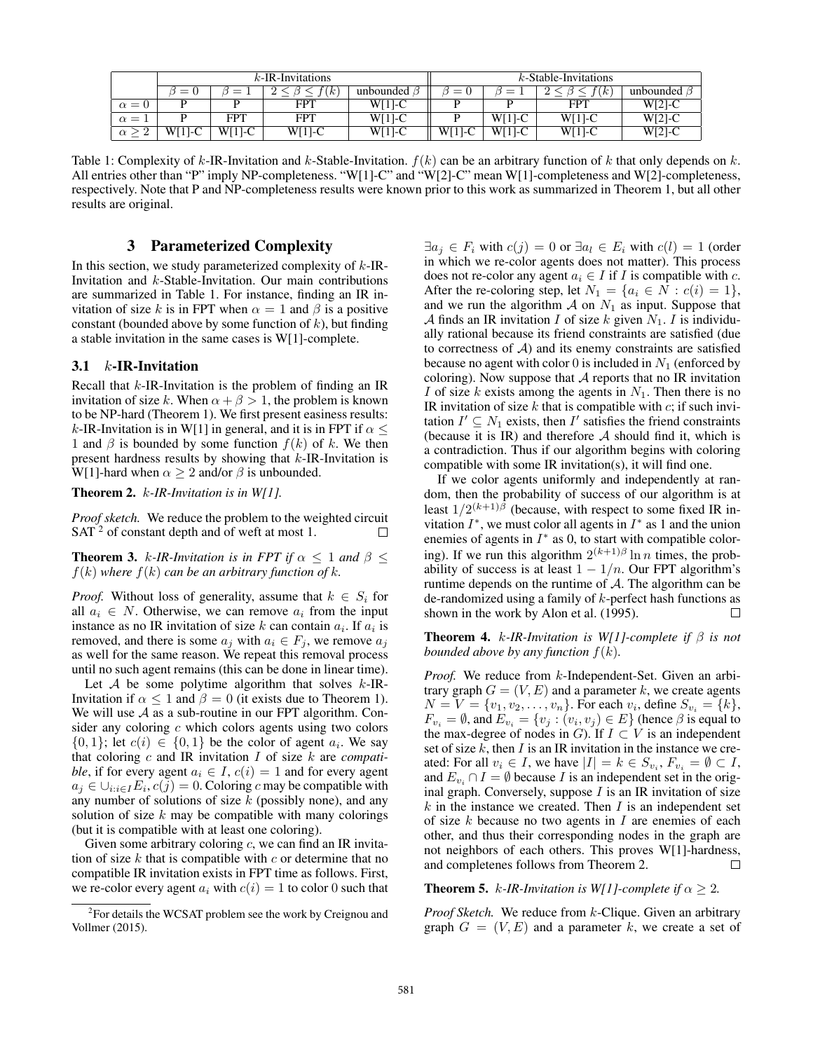|                 |          |              | $k$ -IR-Invitations |           | $k$ -Stable-Invitations |           |            |                   |  |
|-----------------|----------|--------------|---------------------|-----------|-------------------------|-----------|------------|-------------------|--|
|                 |          |              | k.                  | unbounded | $=$                     |           | $\kappa$   | unbounded $\beta$ |  |
| $\alpha = 0$    |          |              | <b>FPT</b>          | $W[1]$ -C |                         |           | <b>FPT</b> | $W[2]-C$          |  |
| $\alpha =$      |          | FPT          | FPT                 | $W[1]$ -C |                         | $W[1]$ -C | $W[1]-C$   | $W[2]$ -C         |  |
| റ<br>$\alpha >$ | $W[1]-C$ | WГ<br>$11-C$ | W[1]-C              | $W[1]-C$  | $W[1]-C$                | $W[1]-C$  | $W[1]-C$   | $W[2]$ -C         |  |

Table 1: Complexity of k-IR-Invitation and k-Stable-Invitation.  $f(k)$  can be an arbitrary function of k that only depends on k. All entries other than "P" imply NP-completeness. "W[1]-C" and "W[2]-C" mean W[1]-completeness and W[2]-completeness, respectively. Note that P and NP-completeness results were known prior to this work as summarized in Theorem 1, but all other results are original.

## 3 Parameterized Complexity

In this section, we study parameterized complexity of  $k$ -IR-Invitation and k-Stable-Invitation. Our main contributions are summarized in Table 1. For instance, finding an IR invitation of size k is in FPT when  $\alpha = 1$  and  $\beta$  is a positive constant (bounded above by some function of  $k$ ), but finding a stable invitation in the same cases is W[1]-complete.

#### 3.1  $k$ -IR-Invitation

Recall that  $k$ -IR-Invitation is the problem of finding an IR invitation of size k. When  $\alpha + \beta > 1$ , the problem is known to be NP-hard (Theorem 1). We first present easiness results: k-IR-Invitation is in W[1] in general, and it is in FPT if  $\alpha \leq$ 1 and  $\beta$  is bounded by some function  $f(k)$  of k. We then present hardness results by showing that  $k$ -IR-Invitation is W[1]-hard when  $\alpha \geq 2$  and/or  $\beta$  is unbounded.

Theorem 2. k*-IR-Invitation is in W[1].*

*Proof sketch.* We reduce the problem to the weighted circuit SAT <sup>2</sup> of constant depth and of weft at most 1.  $\Box$ 

**Theorem 3.** k-IR-Invitation is in FPT if  $\alpha$  < 1 and  $\beta$  <  $f(k)$  where  $f(k)$  can be an arbitrary function of k.

*Proof.* Without loss of generality, assume that  $k \in S_i$  for all  $a_i \in N$ . Otherwise, we can remove  $a_i$  from the input instance as no IR invitation of size k can contain  $a_i$ . If  $a_i$  is removed, and there is some  $a_j$  with  $a_i \in F_j$ , we remove  $a_j$ as well for the same reason. We repeat this removal process until no such agent remains (this can be done in linear time).

Let  $A$  be some polytime algorithm that solves  $k$ -IR-Invitation if  $\alpha \leq 1$  and  $\beta = 0$  (it exists due to Theorem 1). We will use  $A$  as a sub-routine in our FPT algorithm. Consider any coloring  $c$  which colors agents using two colors  $\{0, 1\}$ ; let  $c(i) \in \{0, 1\}$  be the color of agent  $a_i$ . We say that coloring c and IR invitation I of size k are *compatible*, if for every agent  $a_i \in I$ ,  $c(i) = 1$  and for every agent  $a_j \in \bigcup_{i:i \in I} E_i$ ,  $c(j)=0$ . Coloring c may be compatible with any number of solutions of size  $k$  (possibly none), and any solution of size  $k$  may be compatible with many colorings (but it is compatible with at least one coloring).

Given some arbitrary coloring  $c$ , we can find an IR invitation of size  $k$  that is compatible with  $c$  or determine that no compatible IR invitation exists in FPT time as follows. First, we re-color every agent  $a_i$  with  $c(i)=1$  to color 0 such that

 $\exists a_j \in F_i$  with  $c(j)=0$  or  $\exists a_l \in E_i$  with  $c(l)=1$  (order in which we re-color agents does not matter). This process does not re-color any agent  $a_i \in I$  if I is compatible with c. After the re-coloring step, let  $N_1 = \{a_i \in N : c(i) = 1\},\$ and we run the algorithm  $A$  on  $N_1$  as input. Suppose that A finds an IR invitation I of size k given  $N_1$ . I is individually rational because its friend constraints are satisfied (due to correctness of  $A$ ) and its enemy constraints are satisfied because no agent with color 0 is included in  $N_1$  (enforced by coloring). Now suppose that  $A$  reports that no IR invitation I of size k exists among the agents in  $N_1$ . Then there is no IR invitation of size  $k$  that is compatible with  $c$ ; if such invitation  $I' \subseteq N_1$  exists, then I' satisfies the friend constraints (because it is IR) and therefore  $A$  should find it, which is a contradiction. Thus if our algorithm begins with coloring compatible with some IR invitation(s), it will find one.

If we color agents uniformly and independently at random, then the probability of success of our algorithm is at least  $1/2^{(k+1)\beta}$  (because, with respect to some fixed IR invitation  $I^*$ , we must color all agents in  $I^*$  as 1 and the union enemies of agents in  $I^*$  as 0, to start with compatible coloring). If we run this algorithm  $2^{(k+1)\beta} \ln n$  times, the probability of success is at least  $1 - 1/n$ . Our FPT algorithm's runtime depends on the runtime of  $A$ . The algorithm can be de-randomized using a family of  $k$ -perfect hash functions as shown in the work by Alon et al. (1995).  $\Box$ 

Theorem 4. k*-IR-Invitation is W[1]-complete if* β *is not bounded above by any function* f(k)*.*

*Proof.* We reduce from k-Independent-Set. Given an arbitrary graph  $G = (V, E)$  and a parameter k, we create agents  $N = V = \{v_1, v_2, \ldots, v_n\}$ . For each  $v_i$ , define  $S_{v_i} = \{k\},$  $F_{v_i} = \emptyset$ , and  $E_{v_i} = \{v_j : (v_i, v_j) \in E\}$  (hence  $\beta$  is equal to the max-degree of nodes in G). If  $I \subset V$  is an independent set of size  $k$ , then  $I$  is an IR invitation in the instance we created: For all  $v_i \in I$ , we have  $|I| = k \in S_{v_i}$ ,  $F_{v_i} = \emptyset \subset I$ , and  $E_{v_i} \cap I = \emptyset$  because I is an independent set in the original graph. Conversely, suppose  $I$  is an IR invitation of size  $k$  in the instance we created. Then  $I$  is an independent set of size  $k$  because no two agents in  $I$  are enemies of each other, and thus their corresponding nodes in the graph are not neighbors of each others. This proves W[1]-hardness, and completenes follows from Theorem 2.  $\Box$ 

**Theorem 5.** k-IR-Invitation is W[1]-complete if  $\alpha \geq 2$ .

*Proof Sketch.* We reduce from k-Clique. Given an arbitrary graph  $G = (V, E)$  and a parameter k, we create a set of

<sup>&</sup>lt;sup>2</sup> For details the WCSAT problem see the work by Creignou and Vollmer (2015).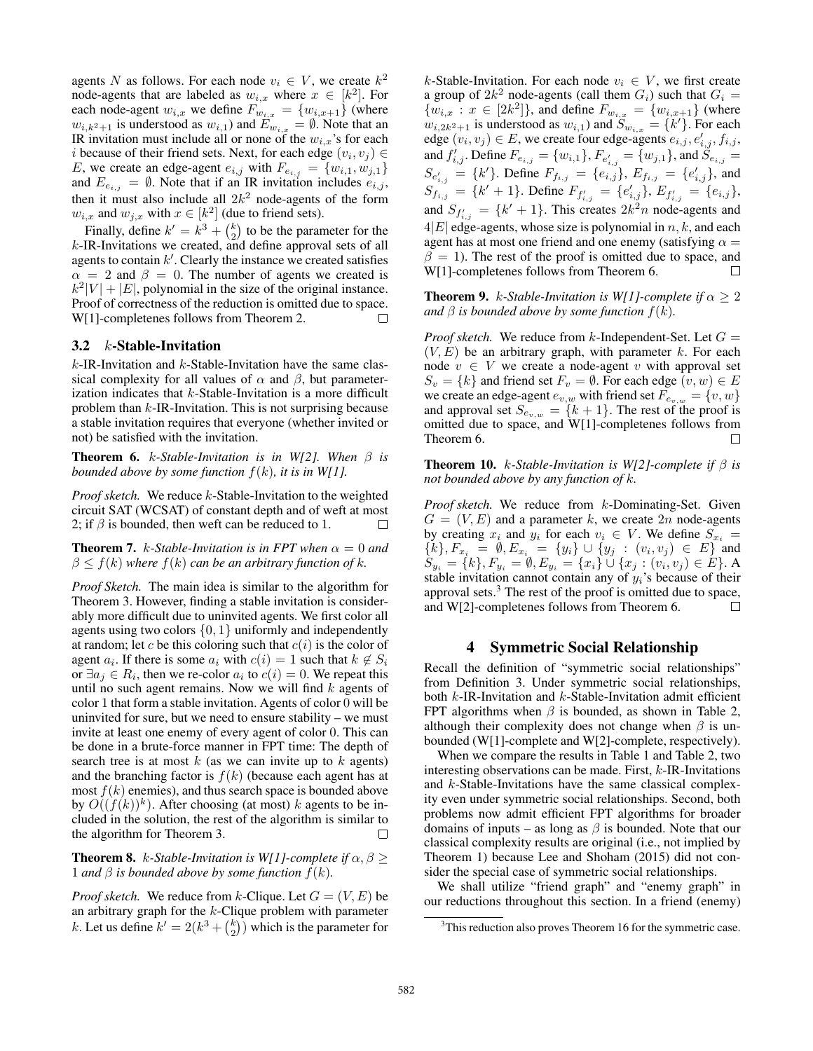agents N as follows. For each node  $v_i \in V$ , we create  $k^2$ node-agents that are labeled as  $w_{i,x}$  where  $x \in [k^2]$ . For each node-agent  $w_{i,x}$  we define  $F_{w_{i,x}} = \{w_{i,x+1}\}\$  (where  $w_{i,k^2+1}$  is understood as  $w_{i,1}$ ) and  $E_{w_{i,x}} = \emptyset$ . Note that an IR invitation must include all or none of the  $w_{i,x}$ 's for each i because of their friend sets. Next, for each edge  $(v_i, v_j) \in$ E, we create an edge-agent  $e_{i,j}$  with  $F_{e_{i,j}} = \{w_{i,1}, w_{j,1}\}\$ and  $E_{e_{i,j}} = \emptyset$ . Note that if an IR invitation includes  $e_{i,j}$ , then it must also include all  $2k^2$  node-agents of the form  $w_{i,x}$  and  $w_{j,x}$  with  $x \in [k^2]$  (due to friend sets).

Finally, define  $k' = k^3 + {k \choose 2}$  to be the parameter for the  $k$ -IR-Invitations we created, and define approval sets of all agents to contain  $k'$ . Clearly the instance we created satisfies  $\alpha = 2$  and  $\beta = 0$ . The number of agents we created is  $k^2|V| + |E|$ , polynomial in the size of the original instance. Proof of correctness of the reduction is omitted due to space. W[1]-completenes follows from Theorem 2.  $\Box$ 

### 3.2 k-Stable-Invitation

 $k$ -IR-Invitation and  $k$ -Stable-Invitation have the same classical complexity for all values of  $\alpha$  and  $\beta$ , but parameterization indicates that  $k$ -Stable-Invitation is a more difficult problem than k-IR-Invitation. This is not surprising because a stable invitation requires that everyone (whether invited or not) be satisfied with the invitation.

**Theorem 6.** k-Stable-Invitation is in W[2]. When  $\beta$  is *bounded above by some function* f(k)*, it is in W[1].*

*Proof sketch.* We reduce k-Stable-Invitation to the weighted circuit SAT (WCSAT) of constant depth and of weft at most 2; if  $\beta$  is bounded, then weft can be reduced to 1.  $\Box$ 

**Theorem 7.** *k*-Stable-Invitation is in FPT when  $\alpha = 0$  and  $\beta \leq f(k)$  *where*  $f(k)$  *can be an arbitrary function of k.* 

*Proof Sketch.* The main idea is similar to the algorithm for Theorem 3. However, finding a stable invitation is considerably more difficult due to uninvited agents. We first color all agents using two colors  $\{0, 1\}$  uniformly and independently at random; let c be this coloring such that  $c(i)$  is the color of agent  $a_i$ . If there is some  $a_i$  with  $c(i)=1$  such that  $k \notin S_i$ or  $\exists a_j \in R_i$ , then we re-color  $a_i$  to  $c(i)=0$ . We repeat this until no such agent remains. Now we will find  $k$  agents of color 1 that form a stable invitation. Agents of color 0 will be uninvited for sure, but we need to ensure stability – we must invite at least one enemy of every agent of color 0. This can be done in a brute-force manner in FPT time: The depth of search tree is at most  $k$  (as we can invite up to  $k$  agents) and the branching factor is  $f(k)$  (because each agent has at most  $f(k)$  enemies), and thus search space is bounded above by  $O((f(k))^k)$ . After choosing (at most) k agents to be included in the solution, the rest of the algorithm is similar to the algorithm for Theorem 3.  $\Box$ 

**Theorem 8.** k-Stable-Invitation is W[1]-complete if  $\alpha$ ,  $\beta$  > 1 *and*  $\beta$  *is bounded above by some function*  $f(k)$ *.* 

*Proof sketch.* We reduce from k-Clique. Let  $G = (V, E)$  be an arbitrary graph for the  $k$ -Clique problem with parameter k. Let us define  $k' = 2(k^3 + {k \choose 2})$  which is the parameter for

k-Stable-Invitation. For each node  $v_i \in V$ , we first create a group of  $2k^2$  node-agents (call them  $G_i$ ) such that  $G_i =$  ${w_{i,x} : x \in [2k^2]},$  and define  $F_{w_{i,x}} = {w_{i,x+1}}$  (where  $w_{i,2k^2+1}$  is understood as  $w_{i,1}$ ) and  $S_{w_{i,x}} = \{k'\}$ . For each edge  $(v_i, v_j) \in E$ , we create four edge-agents  $e_{i,j}, e'_{i,j}, f_{i,j}$ , and  $f'_{i,j}$ . Define  $F_{e_{i,j}} = \{w_{i,1}\}, F_{e'_{i,j}} = \{w_{j,1}\},$  and  $S_{e_{i,j}} =$  $S_{e'_{i,j}} = \{k'\}.$  Define  $F_{f_{i,j}} = \{e_{i,j}\}, E_{f_{i,j}} = \{e'_{i,j}\},$  and  $S_{f_{i,j}} = \{k'+1\}$ . Define  $F_{f'_{i,j}} = \{e'_{i,j}\}\text{, } E_{f'_{i,j}} = \{e_{i,j}\}\text{,}$ and  $S_{f'_{i,j}} = \{k'+1\}$ . This creates  $2k^2n$  node-agents and  $4|E|$  edge-agents, whose size is polynomial in  $n, k$ , and each agent has at most one friend and one enemy (satisfying  $\alpha =$  $\beta = 1$ ). The rest of the proof is omitted due to space, and W[1]-completenes follows from Theorem 6. П

**Theorem 9.** k-Stable-Invitation is W[1]-complete if  $\alpha \geq 2$ *and*  $\beta$  *is bounded above by some function*  $f(k)$ *.* 

*Proof sketch.* We reduce from  $k$ -Independent-Set. Let  $G =$  $(V, E)$  be an arbitrary graph, with parameter k. For each node  $v \in V$  we create a node-agent v with approval set  $S_v = \{k\}$  and friend set  $F_v = \emptyset$ . For each edge  $(v, w) \in E$ we create an edge-agent  $e_{v,w}$  with friend set  $F_{e_{v,w}} = \{v,w\}$ and approval set  $S_{e_{v,w}} = \{k+1\}$ . The rest of the proof is omitted due to space, and W[1]-completenes follows from Theorem 6. П

Theorem 10. k*-Stable-Invitation is W[2]-complete if* β *is not bounded above by any function of* k*.*

*Proof sketch.* We reduce from k-Dominating-Set. Given  $G = (V, E)$  and a parameter k, we create 2n node-agents by creating  $x_i$  and  $y_i$  for each  $v_i \in V$ . We define  $S_{x_i}$  =  ${k, F_{x_i} = \emptyset, E_{x_i} = {y_i} \cup {y_j : (v_i, v_j) \in E} \text{ and }$  $S_{y_i} = \{k\}, F_{y_i} = \emptyset, E_{y_i} = \{x_i\} \cup \{x_j : (v_i, v_j) \in E\}.$  A stable invitation cannot contain any of  $y_i$ 's because of their approval sets. $3$  The rest of the proof is omitted due to space, and W[2]-completenes follows from Theorem 6. П

### 4 Symmetric Social Relationship

Recall the definition of "symmetric social relationships" from Definition 3. Under symmetric social relationships, both  $k$ -IR-Invitation and  $k$ -Stable-Invitation admit efficient FPT algorithms when  $\beta$  is bounded, as shown in Table 2, although their complexity does not change when  $\beta$  is unbounded (W[1]-complete and W[2]-complete, respectively).

When we compare the results in Table 1 and Table 2, two interesting observations can be made. First, k-IR-Invitations and k-Stable-Invitations have the same classical complexity even under symmetric social relationships. Second, both problems now admit efficient FPT algorithms for broader domains of inputs – as long as  $\beta$  is bounded. Note that our classical complexity results are original (i.e., not implied by Theorem 1) because Lee and Shoham (2015) did not consider the special case of symmetric social relationships.

We shall utilize "friend graph" and "enemy graph" in our reductions throughout this section. In a friend (enemy)

 $3$ This reduction also proves Theorem 16 for the symmetric case.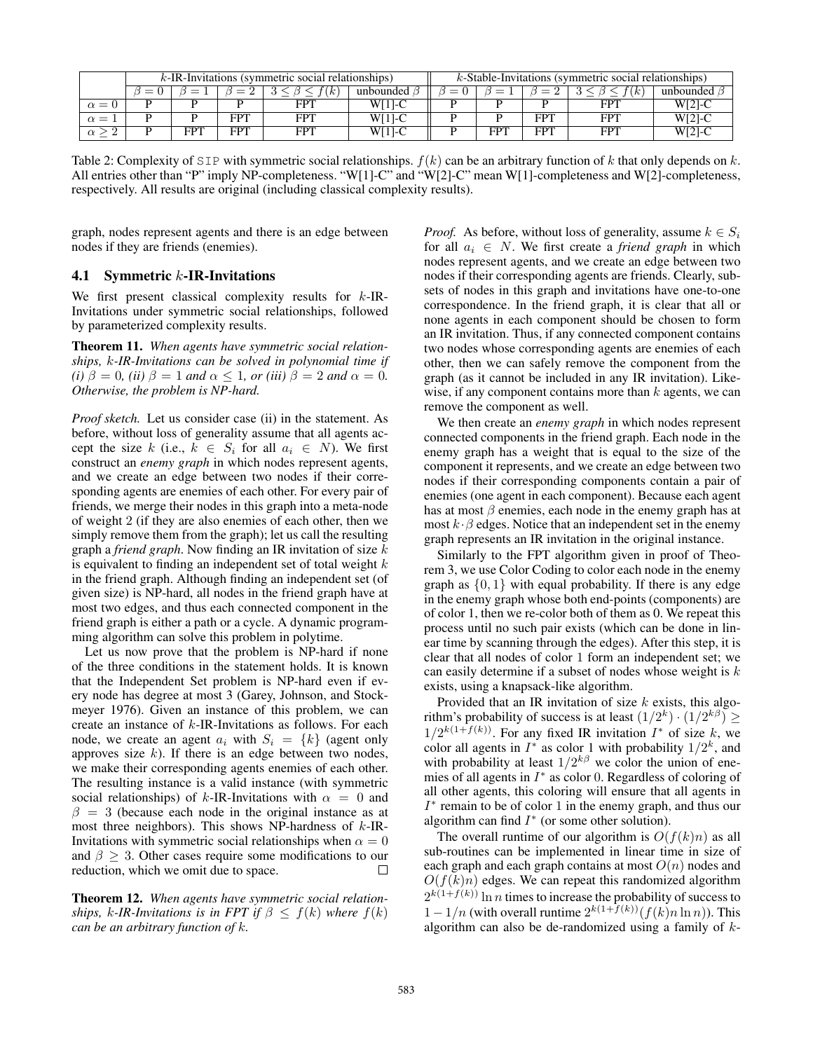|            | $k$ -IR-Invitations (symmetric social relationships) |     |     |          |           |  | $k$ -Stable-Invitations (symmetric social relationships) |     |          |           |  |
|------------|------------------------------------------------------|-----|-----|----------|-----------|--|----------------------------------------------------------|-----|----------|-----------|--|
|            |                                                      |     |     | $\kappa$ | unbounded |  |                                                          |     | $\kappa$ | unbounded |  |
| $\alpha =$ |                                                      |     |     | FPT      | W[1]-C    |  |                                                          |     |          | $W[2]-C$  |  |
| $\alpha =$ |                                                      |     | FPT | FPT      | $W[1]-C$  |  |                                                          | FPT | FP1      | W[2]-C    |  |
|            |                                                      | FPT | FPT | FPT      | W[1]-C    |  | FPT                                                      | FPT | FPT      | W[2]-C    |  |

Table 2: Complexity of SIP with symmetric social relationships.  $f(k)$  can be an arbitrary function of k that only depends on k. All entries other than "P" imply NP-completeness. "W[1]-C" and "W[2]-C" mean W[1]-completeness and W[2]-completeness, respectively. All results are original (including classical complexity results).

graph, nodes represent agents and there is an edge between nodes if they are friends (enemies).

### 4.1 Symmetric  $k$ -IR-Invitations

We first present classical complexity results for  $k$ -IR-Invitations under symmetric social relationships, followed by parameterized complexity results.

Theorem 11. *When agents have symmetric social relationships,* k*-IR-Invitations can be solved in polynomial time if (i)*  $\beta = 0$ *, (ii)*  $\beta = 1$  *and*  $\alpha \leq 1$ *, or (iii)*  $\beta = 2$  *and*  $\alpha = 0$ *. Otherwise, the problem is NP-hard.*

*Proof sketch.* Let us consider case (ii) in the statement. As before, without loss of generality assume that all agents accept the size k (i.e.,  $k \in S_i$  for all  $a_i \in N$ ). We first construct an *enemy graph* in which nodes represent agents, and we create an edge between two nodes if their corresponding agents are enemies of each other. For every pair of friends, we merge their nodes in this graph into a meta-node of weight 2 (if they are also enemies of each other, then we simply remove them from the graph); let us call the resulting graph a *friend graph*. Now finding an IR invitation of size k is equivalent to finding an independent set of total weight  $k$ in the friend graph. Although finding an independent set (of given size) is NP-hard, all nodes in the friend graph have at most two edges, and thus each connected component in the friend graph is either a path or a cycle. A dynamic programming algorithm can solve this problem in polytime.

Let us now prove that the problem is NP-hard if none of the three conditions in the statement holds. It is known that the Independent Set problem is NP-hard even if every node has degree at most 3 (Garey, Johnson, and Stockmeyer 1976). Given an instance of this problem, we can create an instance of k-IR-Invitations as follows. For each node, we create an agent  $a_i$  with  $S_i = \{k\}$  (agent only approves size  $k$ ). If there is an edge between two nodes, we make their corresponding agents enemies of each other. The resulting instance is a valid instance (with symmetric social relationships) of k-IR-Invitations with  $\alpha = 0$  and  $\beta = 3$  (because each node in the original instance as at most three neighbors). This shows NP-hardness of  $k$ -IR-Invitations with symmetric social relationships when  $\alpha = 0$ and  $\beta \geq 3$ . Other cases require some modifications to our reduction which we omit due to space reduction, which we omit due to space.

Theorem 12. *When agents have symmetric social relationships, k-IR-Invitations is in FPT if*  $\beta \leq f(k)$  *where*  $f(k)$ *can be an arbitrary function of* k*.*

*Proof.* As before, without loss of generality, assume  $k \in S_i$ for all  $a_i \in N$ . We first create a *friend graph* in which nodes represent agents, and we create an edge between two nodes if their corresponding agents are friends. Clearly, subsets of nodes in this graph and invitations have one-to-one correspondence. In the friend graph, it is clear that all or none agents in each component should be chosen to form an IR invitation. Thus, if any connected component contains two nodes whose corresponding agents are enemies of each other, then we can safely remove the component from the graph (as it cannot be included in any IR invitation). Likewise, if any component contains more than  $k$  agents, we can remove the component as well.

We then create an *enemy graph* in which nodes represent connected components in the friend graph. Each node in the enemy graph has a weight that is equal to the size of the component it represents, and we create an edge between two nodes if their corresponding components contain a pair of enemies (one agent in each component). Because each agent has at most  $\beta$  enemies, each node in the enemy graph has at most  $k \cdot \beta$  edges. Notice that an independent set in the enemy graph represents an IR invitation in the original instance.

Similarly to the FPT algorithm given in proof of Theorem 3, we use Color Coding to color each node in the enemy graph as  $\{0, 1\}$  with equal probability. If there is any edge in the enemy graph whose both end-points (components) are of color 1, then we re-color both of them as 0. We repeat this process until no such pair exists (which can be done in linear time by scanning through the edges). After this step, it is clear that all nodes of color 1 form an independent set; we can easily determine if a subset of nodes whose weight is  $k$ exists, using a knapsack-like algorithm.

Provided that an IR invitation of size  $k$  exists, this algorithm's probability of success is at least  $(1/2^k) \cdot (1/2^{k\beta}) \ge$  $1/2^{k(1+f(k))}$ . For any fixed IR invitation  $I^*$  of size k, we color all agents in  $I^*$  as color 1 with probability  $1/2^k$ , and with probability at least  $1/2^{k\beta}$  we color the union of enemies of all agents in  $I^*$  as color 0. Regardless of coloring of all other agents, this coloring will ensure that all agents in  $I^*$  remain to be of color 1 in the enemy graph, and thus our algorithm can find  $I^*$  (or some other solution).

The overall runtime of our algorithm is  $O(f(k)n)$  as all sub-routines can be implemented in linear time in size of each graph and each graph contains at most  $O(n)$  nodes and  $O(f(k)n)$  edges. We can repeat this randomized algorithm  $2^{k(1+f(k))}\ln n$  times to increase the probability of success to  $1 - 1/n$  (with overall runtime  $2^{k(1+f(k))}(f(k)n \ln n)$ ). This algorithm can also be de-randomized using a family of  $k$ -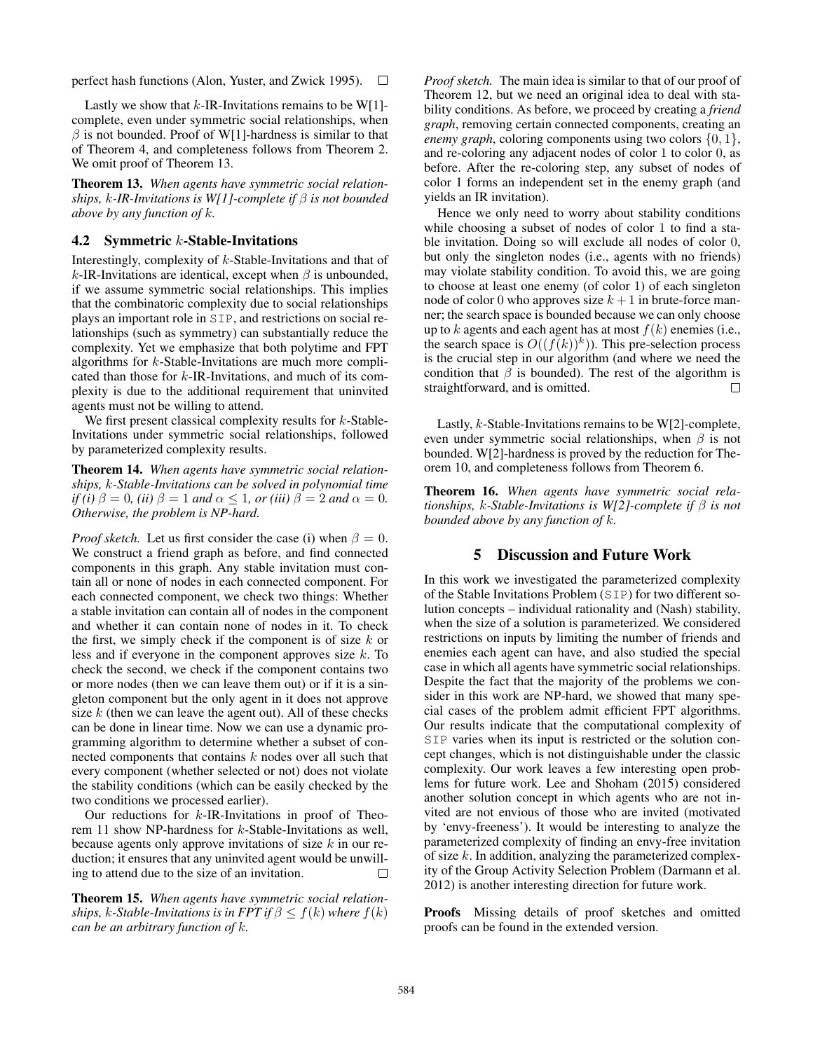perfect hash functions (Alon, Yuster, and Zwick 1995).  $\Box$ 

Lastly we show that  $k$ -IR-Invitations remains to be W[1]complete, even under symmetric social relationships, when  $\beta$  is not bounded. Proof of W[1]-hardness is similar to that of Theorem 4, and completeness follows from Theorem 2. We omit proof of Theorem 13.

Theorem 13. *When agents have symmetric social relationships,* k*-IR-Invitations is W[1]-complete if* β *is not bounded above by any function of* k*.*

#### 4.2 Symmetric  $k$ -Stable-Invitations

Interestingly, complexity of k-Stable-Invitations and that of k-IR-Invitations are identical, except when  $\beta$  is unbounded, if we assume symmetric social relationships. This implies that the combinatoric complexity due to social relationships plays an important role in SIP, and restrictions on social relationships (such as symmetry) can substantially reduce the complexity. Yet we emphasize that both polytime and FPT algorithms for k-Stable-Invitations are much more complicated than those for k-IR-Invitations, and much of its complexity is due to the additional requirement that uninvited agents must not be willing to attend.

We first present classical complexity results for k-Stable-Invitations under symmetric social relationships, followed by parameterized complexity results.

Theorem 14. *When agents have symmetric social relationships,* k*-Stable-Invitations can be solved in polynomial time if (i)*  $\beta = 0$ *, (ii)*  $\beta = 1$  *and*  $\alpha \le 1$ *, or (iii)*  $\beta = 2$  *and*  $\alpha = 0$ *. Otherwise, the problem is NP-hard.*

*Proof sketch.* Let us first consider the case (i) when  $\beta = 0$ . We construct a friend graph as before, and find connected components in this graph. Any stable invitation must contain all or none of nodes in each connected component. For each connected component, we check two things: Whether a stable invitation can contain all of nodes in the component and whether it can contain none of nodes in it. To check the first, we simply check if the component is of size  $k$  or less and if everyone in the component approves size k. To check the second, we check if the component contains two or more nodes (then we can leave them out) or if it is a singleton component but the only agent in it does not approve size  $k$  (then we can leave the agent out). All of these checks can be done in linear time. Now we can use a dynamic programming algorithm to determine whether a subset of connected components that contains k nodes over all such that every component (whether selected or not) does not violate the stability conditions (which can be easily checked by the two conditions we processed earlier).

Our reductions for  $k$ -IR-Invitations in proof of Theorem 11 show NP-hardness for k-Stable-Invitations as well, because agents only approve invitations of size  $k$  in our reduction; it ensures that any uninvited agent would be unwilling to attend due to the size of an invitation.  $\Box$ 

Theorem 15. *When agents have symmetric social relationships,* k-Stable-Invitations is in FPT if  $\beta \leq f(k)$  where  $f(k)$ *can be an arbitrary function of* k*.*

*Proof sketch.* The main idea is similar to that of our proof of Theorem 12, but we need an original idea to deal with stability conditions. As before, we proceed by creating a *friend graph*, removing certain connected components, creating an *enemy graph*, coloring components using two colors  $\{0, 1\}$ , and re-coloring any adjacent nodes of color 1 to color 0, as before. After the re-coloring step, any subset of nodes of color 1 forms an independent set in the enemy graph (and yields an IR invitation).

Hence we only need to worry about stability conditions while choosing a subset of nodes of color 1 to find a stable invitation. Doing so will exclude all nodes of color 0, but only the singleton nodes (i.e., agents with no friends) may violate stability condition. To avoid this, we are going to choose at least one enemy (of color 1) of each singleton node of color 0 who approves size  $k + 1$  in brute-force manner; the search space is bounded because we can only choose up to k agents and each agent has at most  $f(k)$  enemies (i.e., the search space is  $O((f(k))^k)$ ). This pre-selection process is the crucial step in our algorithm (and where we need the condition that  $\beta$  is bounded). The rest of the algorithm is straightforward, and is omitted.  $\Box$ 

Lastly, k-Stable-Invitations remains to be W[2]-complete, even under symmetric social relationships, when  $\beta$  is not bounded. W[2]-hardness is proved by the reduction for Theorem 10, and completeness follows from Theorem 6.

Theorem 16. *When agents have symmetric social relationships,* k*-Stable-Invitations is W[2]-complete if* β *is not bounded above by any function of* k*.*

# 5 Discussion and Future Work

In this work we investigated the parameterized complexity of the Stable Invitations Problem (SIP) for two different solution concepts – individual rationality and (Nash) stability, when the size of a solution is parameterized. We considered restrictions on inputs by limiting the number of friends and enemies each agent can have, and also studied the special case in which all agents have symmetric social relationships. Despite the fact that the majority of the problems we consider in this work are NP-hard, we showed that many special cases of the problem admit efficient FPT algorithms. Our results indicate that the computational complexity of SIP varies when its input is restricted or the solution concept changes, which is not distinguishable under the classic complexity. Our work leaves a few interesting open problems for future work. Lee and Shoham (2015) considered another solution concept in which agents who are not invited are not envious of those who are invited (motivated by 'envy-freeness'). It would be interesting to analyze the parameterized complexity of finding an envy-free invitation of size  $k$ . In addition, analyzing the parameterized complexity of the Group Activity Selection Problem (Darmann et al. 2012) is another interesting direction for future work.

Proofs Missing details of proof sketches and omitted proofs can be found in the extended version.